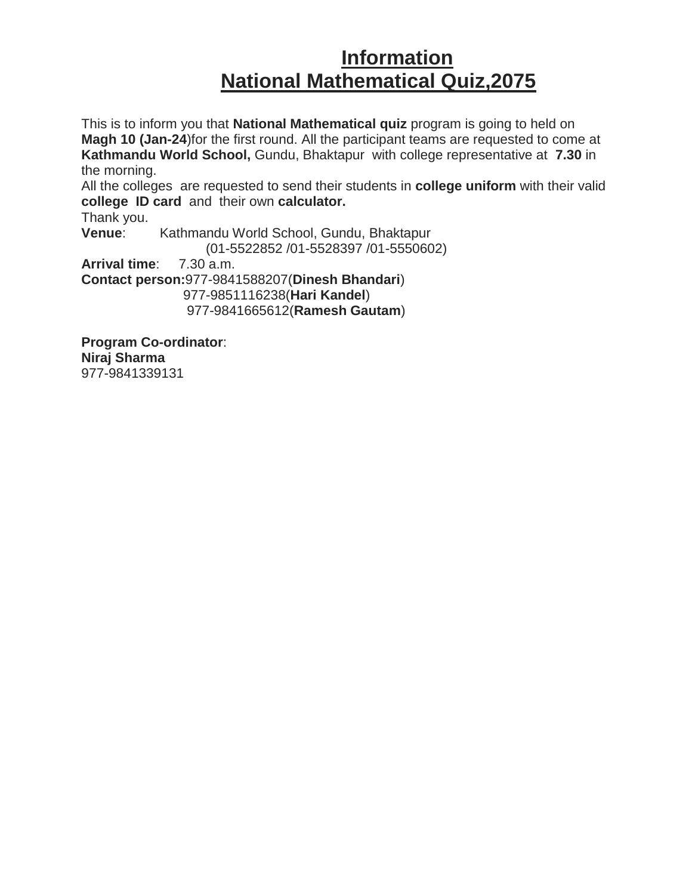## **Information National Mathematical Quiz,2075**

This is to inform you that **National Mathematical quiz** program is going to held on **Magh 10 (Jan-24**)for the first round. All the participant teams are requested to come at **Kathmandu World School,** Gundu, Bhaktapur with college representative at **7.30** in the morning.

All the colleges are requested to send their students in **college uniform** with their valid **college ID card** and their own **calculator.**

Thank you. **Venue**: Kathmandu World School, Gundu, Bhaktapur (01-5522852 /01-5528397 /01-5550602) **Arrival time**: 7.30 a.m. **Contact person:**977-9841588207(**Dinesh Bhandari**) 977-9851116238(**Hari Kandel**) 977-9841665612(**Ramesh Gautam**)

**Program Co-ordinator**: **Niraj Sharma** 977-9841339131